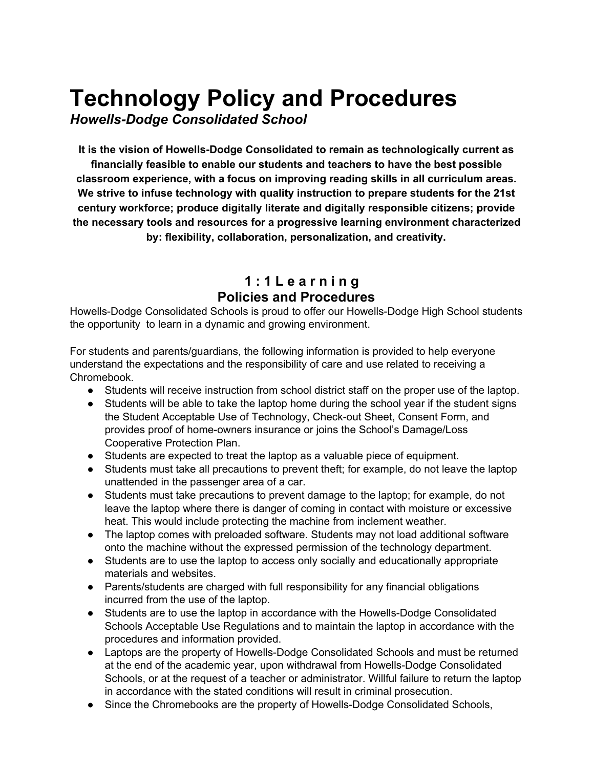# **Technology Policy and Procedures**

*Howells-Dodge Consolidated School*

**It is the vision of Howells-Dodge Consolidated to remain as technologically current as financially feasible to enable our students and teachers to have the best possible classroom experience, with a focus on improving reading skills in all curriculum areas. We strive to infuse technology with quality instruction to prepare students for the 21st century workforce; produce digitally literate and digitally responsible citizens; provide the necessary tools and resources for a progressive learning environment characterized by: flexibility, collaboration, personalization, and creativity.**

### **1 : 1 L e a r n i n g Policies and Procedures**

Howells-Dodge Consolidated Schools is proud to offer our Howells-Dodge High School students the opportunity to learn in a dynamic and growing environment.

For students and parents/guardians, the following information is provided to help everyone understand the expectations and the responsibility of care and use related to receiving a Chromebook.

- Students will receive instruction from school district staff on the proper use of the laptop.
- Students will be able to take the laptop home during the school year if the student signs the Student Acceptable Use of Technology, Check-out Sheet, Consent Form, and provides proof of home-owners insurance or joins the School's Damage/Loss Cooperative Protection Plan.
- Students are expected to treat the laptop as a valuable piece of equipment.
- Students must take all precautions to prevent theft; for example, do not leave the laptop unattended in the passenger area of a car.
- Students must take precautions to prevent damage to the laptop; for example, do not leave the laptop where there is danger of coming in contact with moisture or excessive heat. This would include protecting the machine from inclement weather.
- The laptop comes with preloaded software. Students may not load additional software onto the machine without the expressed permission of the technology department.
- Students are to use the laptop to access only socially and educationally appropriate materials and websites.
- Parents/students are charged with full responsibility for any financial obligations incurred from the use of the laptop.
- Students are to use the laptop in accordance with the Howells-Dodge Consolidated Schools Acceptable Use Regulations and to maintain the laptop in accordance with the procedures and information provided.
- Laptops are the property of Howells-Dodge Consolidated Schools and must be returned at the end of the academic year, upon withdrawal from Howells-Dodge Consolidated Schools, or at the request of a teacher or administrator. Willful failure to return the laptop in accordance with the stated conditions will result in criminal prosecution.
- Since the Chromebooks are the property of Howells-Dodge Consolidated Schools,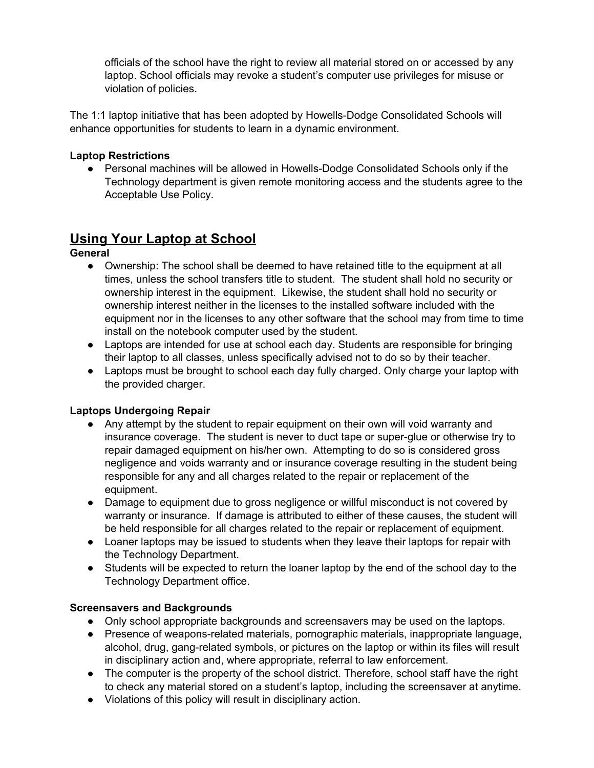officials of the school have the right to review all material stored on or accessed by any laptop. School officials may revoke a student's computer use privileges for misuse or violation of policies.

The 1:1 laptop initiative that has been adopted by Howells-Dodge Consolidated Schools will enhance opportunities for students to learn in a dynamic environment.

#### **Laptop Restrictions**

● Personal machines will be allowed in Howells-Dodge Consolidated Schools only if the Technology department is given remote monitoring access and the students agree to the Acceptable Use Policy.

### **Using Your Laptop at School**

**General**

- Ownership: The school shall be deemed to have retained title to the equipment at all times, unless the school transfers title to student. The student shall hold no security or ownership interest in the equipment. Likewise, the student shall hold no security or ownership interest neither in the licenses to the installed software included with the equipment nor in the licenses to any other software that the school may from time to time install on the notebook computer used by the student.
- Laptops are intended for use at school each day. Students are responsible for bringing their laptop to all classes, unless specifically advised not to do so by their teacher.
- Laptops must be brought to school each day fully charged. Only charge your laptop with the provided charger.

#### **Laptops Undergoing Repair**

- Any attempt by the student to repair equipment on their own will void warranty and insurance coverage. The student is never to duct tape or super-glue or otherwise try to repair damaged equipment on his/her own. Attempting to do so is considered gross negligence and voids warranty and or insurance coverage resulting in the student being responsible for any and all charges related to the repair or replacement of the equipment.
- Damage to equipment due to gross negligence or willful misconduct is not covered by warranty or insurance. If damage is attributed to either of these causes, the student will be held responsible for all charges related to the repair or replacement of equipment.
- Loaner laptops may be issued to students when they leave their laptops for repair with the Technology Department.
- Students will be expected to return the loaner laptop by the end of the school day to the Technology Department office.

#### **Screensavers and Backgrounds**

- Only school appropriate backgrounds and screensavers may be used on the laptops.
- Presence of weapons-related materials, pornographic materials, inappropriate language, alcohol, drug, gang-related symbols, or pictures on the laptop or within its files will result in disciplinary action and, where appropriate, referral to law enforcement.
- The computer is the property of the school district. Therefore, school staff have the right to check any material stored on a student's laptop, including the screensaver at anytime.
- Violations of this policy will result in disciplinary action.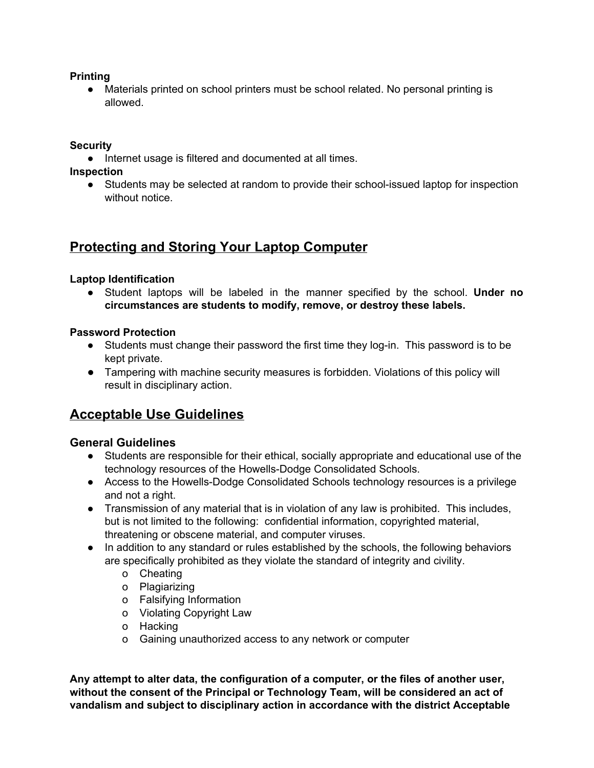#### **Printing**

Materials printed on school printers must be school related. No personal printing is allowed.

#### **Security**

● Internet usage is filtered and documented at all times.

**Inspection**

● Students may be selected at random to provide their school-issued laptop for inspection without notice.

### **Protecting and Storing Your Laptop Computer**

#### **Laptop Identification**

● Student laptops will be labeled in the manner specified by the school. **Under no circumstances are students to modify, remove, or destroy these labels.**

#### **Password Protection**

- Students must change their password the first time they log-in. This password is to be kept private.
- **●** Tampering with machine security measures is forbidden. Violations of this policy will result in disciplinary action.

### **Acceptable Use Guidelines**

#### **General Guidelines**

- Students are responsible for their ethical, socially appropriate and educational use of the technology resources of the Howells-Dodge Consolidated Schools.
- Access to the Howells-Dodge Consolidated Schools technology resources is a privilege and not a right.
- Transmission of any material that is in violation of any law is prohibited. This includes, but is not limited to the following: confidential information, copyrighted material, threatening or obscene material, and computer viruses.
- In addition to any standard or rules established by the schools, the following behaviors are specifically prohibited as they violate the standard of integrity and civility.
	- o Cheating
	- o Plagiarizing
	- o Falsifying Information
	- o Violating Copyright Law
	- o Hacking
	- o Gaining unauthorized access to any network or computer

**Any attempt to alter data, the configuration of a computer, or the files of another user, without the consent of the Principal or Technology Team, will be considered an act of vandalism and subject to disciplinary action in accordance with the district Acceptable**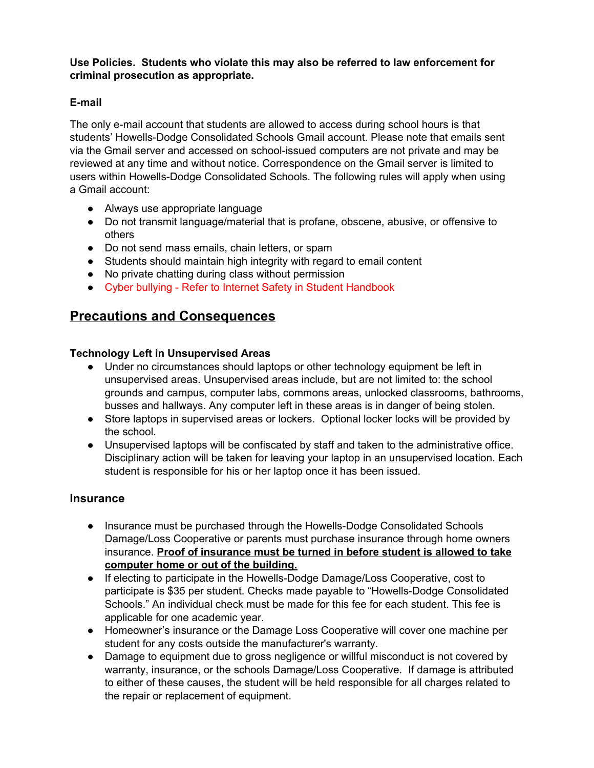#### **Use Policies. Students who violate this may also be referred to law enforcement for criminal prosecution as appropriate.**

#### **E-mail**

The only e-mail account that students are allowed to access during school hours is that students' Howells-Dodge Consolidated Schools Gmail account. Please note that emails sent via the Gmail server and accessed on school-issued computers are not private and may be reviewed at any time and without notice. Correspondence on the Gmail server is limited to users within Howells-Dodge Consolidated Schools. The following rules will apply when using a Gmail account:

- Always use appropriate language
- Do not transmit language/material that is profane, obscene, abusive, or offensive to others
- Do not send mass emails, chain letters, or spam
- Students should maintain high integrity with regard to email content
- No private chatting during class without permission
- Cyber bullying Refer to Internet Safety in Student Handbook

### **Precautions and Consequences**

#### **Technology Left in Unsupervised Areas**

- Under no circumstances should laptops or other technology equipment be left in unsupervised areas. Unsupervised areas include, but are not limited to: the school grounds and campus, computer labs, commons areas, unlocked classrooms, bathrooms, busses and hallways. Any computer left in these areas is in danger of being stolen.
- Store laptops in supervised areas or lockers. Optional locker locks will be provided by the school.
- Unsupervised laptops will be confiscated by staff and taken to the administrative office. Disciplinary action will be taken for leaving your laptop in an unsupervised location. Each student is responsible for his or her laptop once it has been issued.

#### **Insurance**

- Insurance must be purchased through the Howells-Dodge Consolidated Schools Damage/Loss Cooperative or parents must purchase insurance through home owners insurance. **Proof of insurance must be turned in before student is allowed to take computer home or out of the building.**
- If electing to participate in the Howells-Dodge Damage/Loss Cooperative, cost to participate is \$35 per student. Checks made payable to "Howells-Dodge Consolidated Schools." An individual check must be made for this fee for each student. This fee is applicable for one academic year.
- Homeowner's insurance or the Damage Loss Cooperative will cover one machine per student for any costs outside the manufacturer's warranty.
- Damage to equipment due to gross negligence or willful misconduct is not covered by warranty, insurance, or the schools Damage/Loss Cooperative. If damage is attributed to either of these causes, the student will be held responsible for all charges related to the repair or replacement of equipment.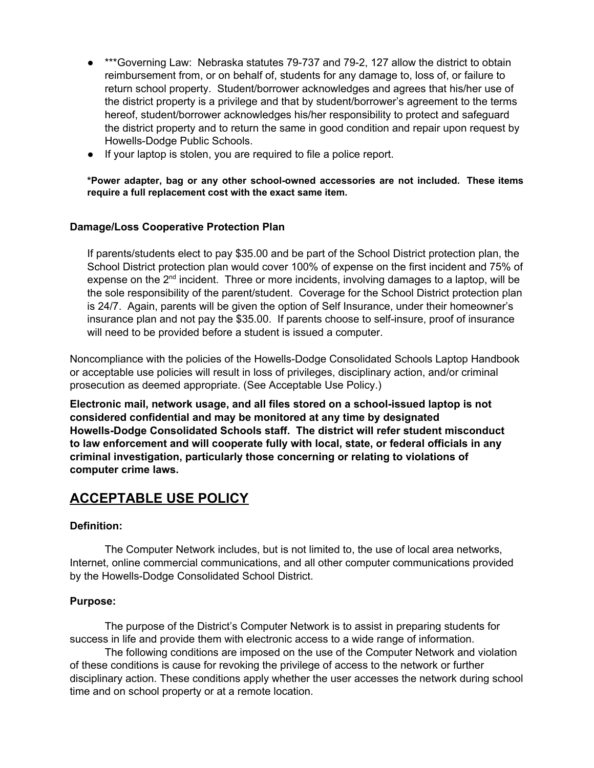- \*\*\*Governing Law: Nebraska statutes 79-737 and 79-2, 127 allow the district to obtain reimbursement from, or on behalf of, students for any damage to, loss of, or failure to return school property. Student/borrower acknowledges and agrees that his/her use of the district property is a privilege and that by student/borrower's agreement to the terms hereof, student/borrower acknowledges his/her responsibility to protect and safeguard the district property and to return the same in good condition and repair upon request by Howells-Dodge Public Schools.
- If your laptop is stolen, you are required to file a police report.

**\*Power adapter, bag or any other school-owned accessories are not included. These items require a full replacement cost with the exact same item.**

#### **Damage/Loss Cooperative Protection Plan**

If parents/students elect to pay \$35.00 and be part of the School District protection plan, the School District protection plan would cover 100% of expense on the first incident and 75% of expense on the 2<sup>nd</sup> incident. Three or more incidents, involving damages to a laptop, will be the sole responsibility of the parent/student. Coverage for the School District protection plan is 24/7. Again, parents will be given the option of Self Insurance, under their homeowner's insurance plan and not pay the \$35.00. If parents choose to self-insure, proof of insurance will need to be provided before a student is issued a computer.

Noncompliance with the policies of the Howells-Dodge Consolidated Schools Laptop Handbook or acceptable use policies will result in loss of privileges, disciplinary action, and/or criminal prosecution as deemed appropriate. (See Acceptable Use Policy.)

**Electronic mail, network usage, and all files stored on a school-issued laptop is not considered confidential and may be monitored at any time by designated Howells-Dodge Consolidated Schools staff. The district will refer student misconduct to law enforcement and will cooperate fully with local, state, or federal officials in any criminal investigation, particularly those concerning or relating to violations of computer crime laws.**

### **ACCEPTABLE USE POLICY**

#### **Definition:**

The Computer Network includes, but is not limited to, the use of local area networks, Internet, online commercial communications, and all other computer communications provided by the Howells-Dodge Consolidated School District.

#### **Purpose:**

The purpose of the District's Computer Network is to assist in preparing students for success in life and provide them with electronic access to a wide range of information.

The following conditions are imposed on the use of the Computer Network and violation of these conditions is cause for revoking the privilege of access to the network or further disciplinary action. These conditions apply whether the user accesses the network during school time and on school property or at a remote location.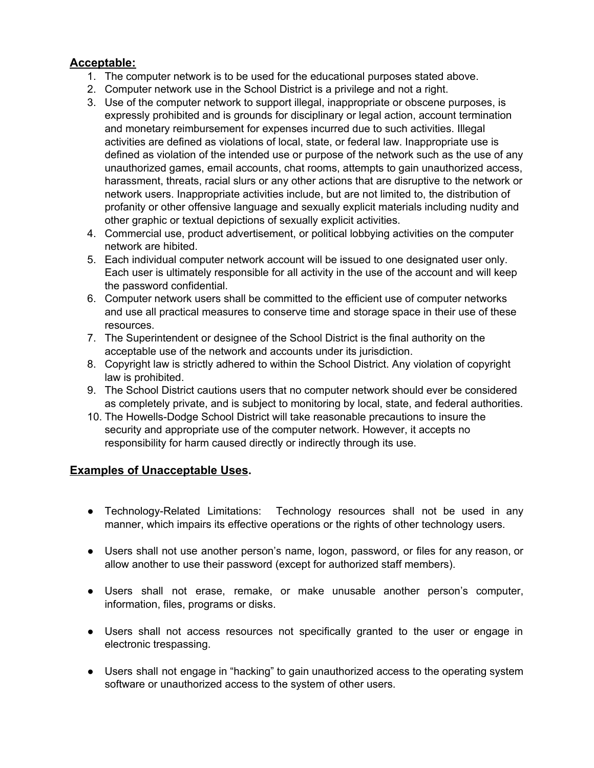#### **Acceptable:**

- 1. The computer network is to be used for the educational purposes stated above.
- 2. Computer network use in the School District is a privilege and not a right.
- 3. Use of the computer network to support illegal, inappropriate or obscene purposes, is expressly prohibited and is grounds for disciplinary or legal action, account termination and monetary reimbursement for expenses incurred due to such activities. Illegal activities are defined as violations of local, state, or federal law. Inappropriate use is defined as violation of the intended use or purpose of the network such as the use of any unauthorized games, email accounts, chat rooms, attempts to gain unauthorized access, harassment, threats, racial slurs or any other actions that are disruptive to the network or network users. Inappropriate activities include, but are not limited to, the distribution of profanity or other offensive language and sexually explicit materials including nudity and other graphic or textual depictions of sexually explicit activities.
- 4. Commercial use, product advertisement, or political lobbying activities on the computer network are hibited.
- 5. Each individual computer network account will be issued to one designated user only. Each user is ultimately responsible for all activity in the use of the account and will keep the password confidential.
- 6. Computer network users shall be committed to the efficient use of computer networks and use all practical measures to conserve time and storage space in their use of these resources.
- 7. The Superintendent or designee of the School District is the final authority on the acceptable use of the network and accounts under its jurisdiction.
- 8. Copyright law is strictly adhered to within the School District. Any violation of copyright law is prohibited.
- 9. The School District cautions users that no computer network should ever be considered as completely private, and is subject to monitoring by local, state, and federal authorities.
- 10. The Howells-Dodge School District will take reasonable precautions to insure the security and appropriate use of the computer network. However, it accepts no responsibility for harm caused directly or indirectly through its use.

#### **Examples of Unacceptable Uses.**

- Technology-Related Limitations: Technology resources shall not be used in any manner, which impairs its effective operations or the rights of other technology users.
- Users shall not use another person's name, logon, password, or files for any reason, or allow another to use their password (except for authorized staff members).
- Users shall not erase, remake, or make unusable another person's computer, information, files, programs or disks.
- Users shall not access resources not specifically granted to the user or engage in electronic trespassing.
- Users shall not engage in "hacking" to gain unauthorized access to the operating system software or unauthorized access to the system of other users.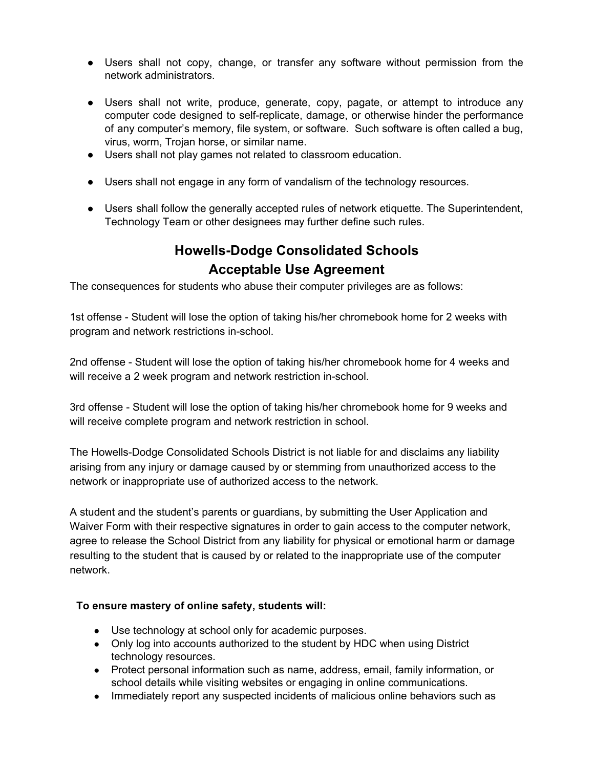- Users shall not copy, change, or transfer any software without permission from the network administrators.
- Users shall not write, produce, generate, copy, pagate, or attempt to introduce any computer code designed to self-replicate, damage, or otherwise hinder the performance of any computer's memory, file system, or software. Such software is often called a bug, virus, worm, Trojan horse, or similar name.
- Users shall not play games not related to classroom education.
- Users shall not engage in any form of vandalism of the technology resources.
- Users shall follow the generally accepted rules of network etiquette. The Superintendent, Technology Team or other designees may further define such rules.

### **Howells-Dodge Consolidated Schools Acceptable Use Agreement**

The consequences for students who abuse their computer privileges are as follows:

1st offense - Student will lose the option of taking his/her chromebook home for 2 weeks with program and network restrictions in-school.

2nd offense - Student will lose the option of taking his/her chromebook home for 4 weeks and will receive a 2 week program and network restriction in-school.

3rd offense - Student will lose the option of taking his/her chromebook home for 9 weeks and will receive complete program and network restriction in school.

The Howells-Dodge Consolidated Schools District is not liable for and disclaims any liability arising from any injury or damage caused by or stemming from unauthorized access to the network or inappropriate use of authorized access to the network.

A student and the student's parents or guardians, by submitting the User Application and Waiver Form with their respective signatures in order to gain access to the computer network, agree to release the School District from any liability for physical or emotional harm or damage resulting to the student that is caused by or related to the inappropriate use of the computer network.

#### **To ensure mastery of online safety, students will:**

- Use technology at school only for academic purposes.
- Only log into accounts authorized to the student by HDC when using District technology resources.
- Protect personal information such as name, address, email, family information, or school details while visiting websites or engaging in online communications.
- Immediately report any suspected incidents of malicious online behaviors such as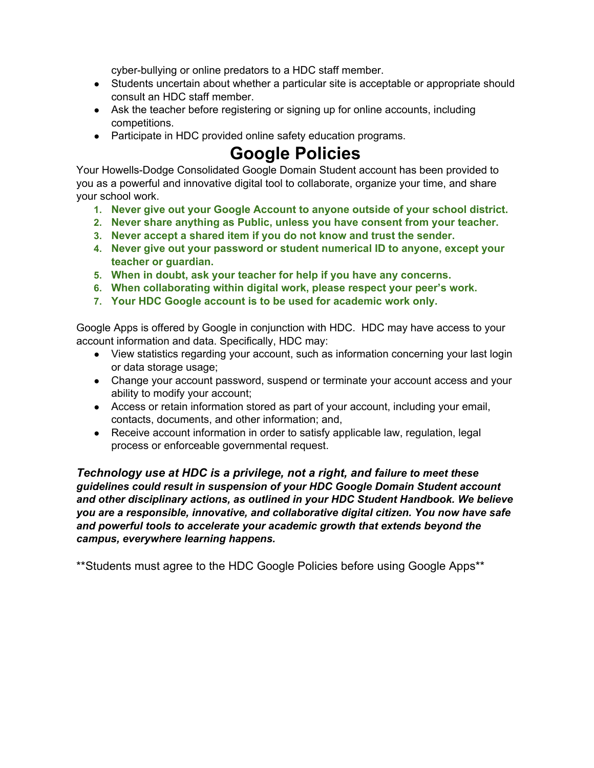cyber-bullying or online predators to a HDC staff member.

- Students uncertain about whether a particular site is acceptable or appropriate should consult an HDC staff member.
- Ask the teacher before registering or signing up for online accounts, including competitions.
- Participate in HDC provided online safety education programs.

# **Google Policies**

Your Howells-Dodge Consolidated Google Domain Student account has been provided to you as a powerful and innovative digital tool to collaborate, organize your time, and share your school work.

- **1. Never give out your Google Account to anyone outside of your school district.**
- **2. Never share anything as Public, unless you have consent from your teacher.**
- **3. Never accept a shared item if you do not know and trust the sender.**
- **4. Never give out your password or student numerical ID to anyone, except your teacher or guardian.**
- **5. When in doubt, ask your teacher for help if you have any concerns.**
- **6. When collaborating within digital work, please respect your peer's work.**
- **7. Your HDC Google account is to be used for academic work only.**

Google Apps is offered by Google in conjunction with HDC. HDC may have access to your account information and data. Specifically, HDC may:

- View statistics regarding your account, such as information concerning your last login or data storage usage;
- Change your account password, suspend or terminate your account access and your ability to modify your account;
- Access or retain information stored as part of your account, including your email, contacts, documents, and other information; and,
- Receive account information in order to satisfy applicable law, regulation, legal process or enforceable governmental request.

*Technology use at HDC is a privilege, not a right, and failure to meet these guidelines could result in suspension of your HDC Google Domain Student account and other disciplinary actions, as outlined in you[r](http://www.cloud79.org/home/current-aup) HDC Student Handbook. We believe you are a responsible, innovative, and collaborative digital citizen. You now have safe and powerful tools to accelerate your academic growth that extends beyond the campus, everywhere learning happens.*

\*\*Students must agree to the HDC Google Policies before using Google Apps\*\*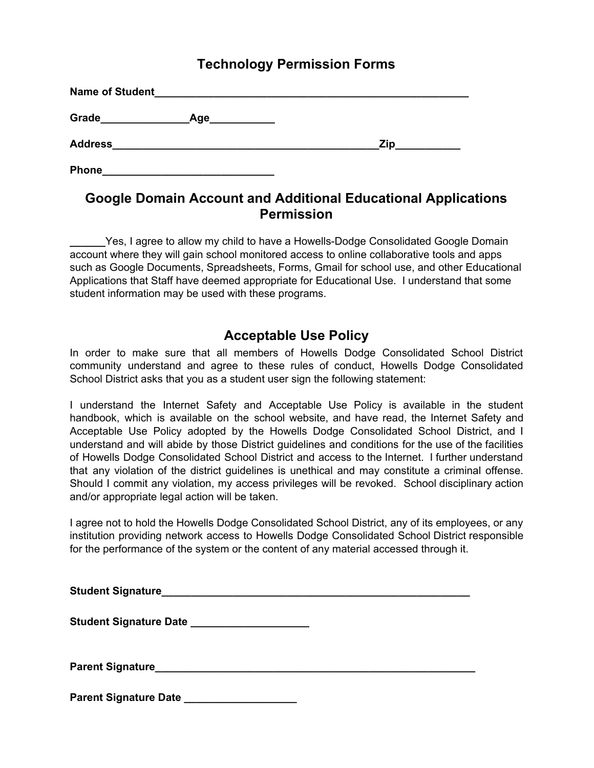### **Technology Permission Forms**

| Name of Student |            |     |
|-----------------|------------|-----|
| Grade           | <b>Age</b> |     |
| <b>Address</b>  |            | Zip |
| <b>Phone</b>    |            |     |

### **Google Domain Account and Additional Educational Applications Permission**

Yes, I agree to allow my child to have a Howells-Dodge Consolidated Google Domain account where they will gain school monitored access to online collaborative tools and apps such as Google Documents, Spreadsheets, Forms, Gmail for school use, and other Educational Applications that Staff have deemed appropriate for Educational Use. I understand that some student information may be used with these programs.

### **Acceptable Use Policy**

In order to make sure that all members of Howells Dodge Consolidated School District community understand and agree to these rules of conduct, Howells Dodge Consolidated School District asks that you as a student user sign the following statement:

I understand the Internet Safety and Acceptable Use Policy is available in the student handbook, which is available on the school website, and have read, the Internet Safety and Acceptable Use Policy adopted by the Howells Dodge Consolidated School District, and I understand and will abide by those District guidelines and conditions for the use of the facilities of Howells Dodge Consolidated School District and access to the Internet. I further understand that any violation of the district guidelines is unethical and may constitute a criminal offense. Should I commit any violation, my access privileges will be revoked. School disciplinary action and/or appropriate legal action will be taken.

I agree not to hold the Howells Dodge Consolidated School District, any of its employees, or any institution providing network access to Howells Dodge Consolidated School District responsible for the performance of the system or the content of any material accessed through it.

**Student Signature\_\_\_\_\_\_\_\_\_\_\_\_\_\_\_\_\_\_\_\_\_\_\_\_\_\_\_\_\_\_\_\_\_\_\_\_\_\_\_\_\_\_\_\_\_\_\_\_\_\_\_\_**

**Student Signature Date \_\_\_\_\_\_\_\_\_\_\_\_\_\_\_\_\_\_\_\_**

**Parent Signature\_\_\_\_\_\_\_\_\_\_\_\_\_\_\_\_\_\_\_\_\_\_\_\_\_\_\_\_\_\_\_\_\_\_\_\_\_\_\_\_\_\_\_\_\_\_\_\_\_\_\_\_\_\_**

**Parent Signature Date \_\_\_\_\_\_\_\_\_\_\_\_\_\_\_\_\_\_\_**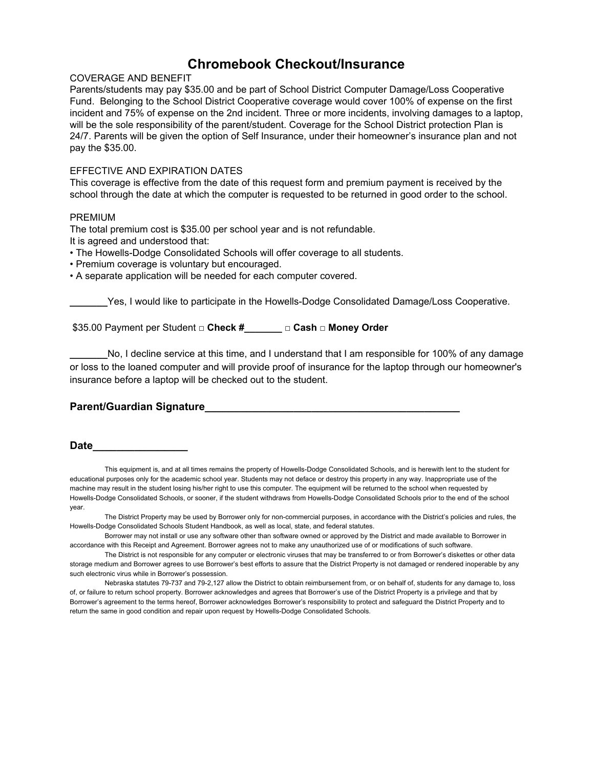### **Chromebook Checkout/Insurance**

#### COVERAGE AND BENEFIT

Parents/students may pay \$35.00 and be part of School District Computer Damage/Loss Cooperative Fund. Belonging to the School District Cooperative coverage would cover 100% of expense on the first incident and 75% of expense on the 2nd incident. Three or more incidents, involving damages to a laptop, will be the sole responsibility of the parent/student. Coverage for the School District protection Plan is 24/7. Parents will be given the option of Self Insurance, under their homeowner's insurance plan and not pay the \$35.00.

#### EFFECTIVE AND EXPIRATION DATES

This coverage is effective from the date of this request form and premium payment is received by the school through the date at which the computer is requested to be returned in good order to the school.

#### PREMIUM

The total premium cost is \$35.00 per school year and is not refundable.

It is agreed and understood that:

• The Howells-Dodge Consolidated Schools will offer coverage to all students.

- Premium coverage is voluntary but encouraged.
- A separate application will be needed for each computer covered.

Yes, I would like to participate in the Howells-Dodge Consolidated Damage/Loss Cooperative.

\$35.00 Payment per Student **□ Check #\_\_\_\_\_\_\_ □ Cash □ Money Order**

No, I decline service at this time, and I understand that I am responsible for 100% of any damage or loss to the loaned computer and will provide proof of insurance for the laptop through our homeowner's insurance before a laptop will be checked out to the student.

#### **Parent/Guardian Signature\_\_\_\_\_\_\_\_\_\_\_\_\_\_\_\_\_\_\_\_\_\_\_\_\_\_\_\_\_\_\_\_\_\_\_\_\_\_\_\_\_\_\_**

#### **Date\_\_\_\_\_\_\_\_\_\_\_\_\_\_\_\_**

This equipment is, and at all times remains the property of Howells-Dodge Consolidated Schools, and is herewith lent to the student for educational purposes only for the academic school year. Students may not deface or destroy this property in any way. Inappropriate use of the machine may result in the student losing his/her right to use this computer. The equipment will be returned to the school when requested by Howells-Dodge Consolidated Schools, or sooner, if the student withdraws from Howells-Dodge Consolidated Schools prior to the end of the school year.

The District Property may be used by Borrower only for non-commercial purposes, in accordance with the District's policies and rules, the Howells-Dodge Consolidated Schools Student Handbook, as well as local, state, and federal statutes.

Borrower may not install or use any software other than software owned or approved by the District and made available to Borrower in accordance with this Receipt and Agreement. Borrower agrees not to make any unauthorized use of or modifications of such software.

The District is not responsible for any computer or electronic viruses that may be transferred to or from Borrower's diskettes or other data storage medium and Borrower agrees to use Borrower's best efforts to assure that the District Property is not damaged or rendered inoperable by any such electronic virus while in Borrower's possession.

Nebraska statutes 79-737 and 79-2,127 allow the District to obtain reimbursement from, or on behalf of, students for any damage to, loss of, or failure to return school property. Borrower acknowledges and agrees that Borrower's use of the District Property is a privilege and that by Borrower's agreement to the terms hereof, Borrower acknowledges Borrower's responsibility to protect and safeguard the District Property and to return the same in good condition and repair upon request by Howells-Dodge Consolidated Schools.